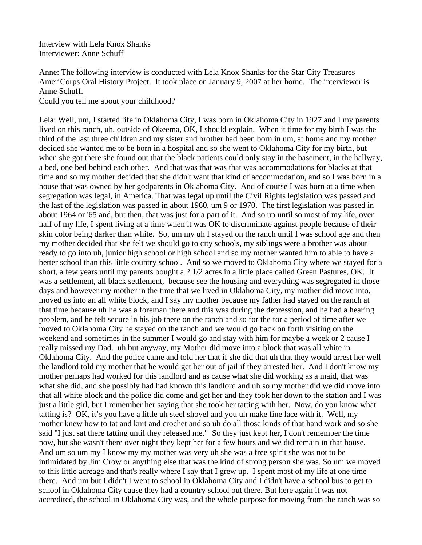Interview with Lela Knox Shanks Interviewer: Anne Schuff

Anne: The following interview is conducted with Lela Knox Shanks for the Star City Treasures AmeriCorps Oral History Project. It took place on January 9, 2007 at her home. The interviewer is Anne Schuff.

Could you tell me about your childhood?

Lela: Well, um, I started life in Oklahoma City, I was born in Oklahoma City in 1927 and I my parents lived on this ranch, uh, outside of Okeema, OK, I should explain. When it time for my birth I was the third of the last three children and my sister and brother had been born in um, at home and my mother decided she wanted me to be born in a hospital and so she went to Oklahoma City for my birth, but when she got there she found out that the black patients could only stay in the basement, in the hallway, a bed, one bed behind each other. And that was that was that was accommodations for blacks at that time and so my mother decided that she didn't want that kind of accommodation, and so I was born in a house that was owned by her godparents in Oklahoma City. And of course I was born at a time when segregation was legal, in America. That was legal up until the Civil Rights legislation was passed and the last of the legislation was passed in about 1960, um 9 or 1970. The first legislation was passed in about 1964 or '65 and, but then, that was just for a part of it. And so up until so most of my life, over half of my life, I spent living at a time when it was OK to discriminate against people because of their skin color being darker than white. So, um my uh I stayed on the ranch until I was school age and then my mother decided that she felt we should go to city schools, my siblings were a brother was about ready to go into uh, junior high school or high school and so my mother wanted him to able to have a better school than this little country school. And so we moved to Oklahoma City where we stayed for a short, a few years until my parents bought a 2 1/2 acres in a little place called Green Pastures, OK. It was a settlement, all black settlement, because see the housing and everything was segregated in those days and however my mother in the time that we lived in Oklahoma City, my mother did move into, moved us into an all white block, and I say my mother because my father had stayed on the ranch at that time because uh he was a foreman there and this was during the depression, and he had a hearing problem, and he felt secure in his job there on the ranch and so for the for a period of time after we moved to Oklahoma City he stayed on the ranch and we would go back on forth visiting on the weekend and sometimes in the summer I would go and stay with him for maybe a week or 2 cause I really missed my Dad. uh but anyway, my Mother did move into a block that was all white in Oklahoma City. And the police came and told her that if she did that uh that they would arrest her well the landlord told my mother that he would get her out of jail if they arrested her. And I don't know my mother perhaps had worked for this landlord and as cause what she did working as a maid, that was what she did, and she possibly had had known this landlord and uh so my mother did we did move into that all white block and the police did come and get her and they took her down to the station and I was just a little girl, but I remember her saying that she took her tatting with her. Now, do you know what tatting is? OK, it's you have a little uh steel shovel and you uh make fine lace with it. Well, my mother knew how to tat and knit and crochet and so uh do all those kinds of that hand work and so she said "I just sat there tatting until they released me." So they just kept her, I don't remember the time now, but she wasn't there over night they kept her for a few hours and we did remain in that house. And um so um my I know my my mother was very uh she was a free spirit she was not to be intimidated by Jim Crow or anything else that was the kind of strong person she was. So um we moved to this little acreage and that's really where I say that I grew up. I spent most of my life at one time there. And um but I didn't I went to school in Oklahoma City and I didn't have a school bus to get to school in Oklahoma City cause they had a country school out there. But here again it was not accredited, the school in Oklahoma City was, and the whole purpose for moving from the ranch was so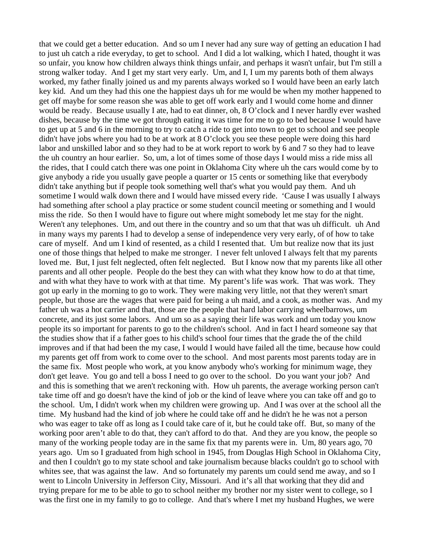that we could get a better education. And so um I never had any sure way of getting an education I had to just uh catch a ride everyday, to get to school. And I did a lot walking, which I hated, thought it was so unfair, you know how children always think things unfair, and perhaps it wasn't unfair, but I'm still a strong walker today. And I get my start very early. Um, and I, I um my parents both of them always worked, my father finally joined us and my parents always worked so I would have been an early latch key kid. And um they had this one the happiest days uh for me would be when my mother happened to get off maybe for some reason she was able to get off work early and I would come home and dinner would be ready. Because usually I ate, had to eat dinner, oh, 8 O'clock and I never hardly ever washed dishes, because by the time we got through eating it was time for me to go to bed because I would have to get up at 5 and 6 in the morning to try to catch a ride to get into town to get to school and see people didn't have jobs where you had to be at work at 8 O'clock you see these people were doing this hard labor and unskilled labor and so they had to be at work report to work by 6 and 7 so they had to leave the uh country an hour earlier. So, um, a lot of times some of those days I would miss a ride miss all the rides, that I could catch there was one point in Oklahoma City where uh the cars would come by to give anybody a ride you usually gave people a quarter or 15 cents or something like that everybody didn't take anything but if people took something well that's what you would pay them. And uh sometime I would walk down there and I would have missed every ride. 'Cause I was usually I always had something after school a play practice or some student council meeting or something and I would miss the ride. So then I would have to figure out where might somebody let me stay for the night. Weren't any telephones. Um, and out there in the country and so um that that was uh difficult. uh And in many ways my parents I had to develop a sense of independence very very early, of of how to take care of myself. And um I kind of resented, as a child I resented that. Um but realize now that its just one of those things that helped to make me stronger. I never felt unloved I always felt that my parents loved me. But, I just felt neglected, often felt neglected. But I know now that my parents like all other parents and all other people. People do the best they can with what they know how to do at that time, and with what they have to work with at that time. My parent's life was work. That was work. They got up early in the morning to go to work. They were making very little, not that they weren't smart people, but those are the wages that were paid for being a uh maid, and a cook, as mother was. And my father uh was a hot carrier and that, those are the people that hard labor carrying wheelbarrows, um concrete, and its just some labors. And um so as a saying their life was work and um today you know people its so important for parents to go to the children's school. And in fact I heard someone say that the studies show that if a father goes to his child's school four times that the grade the of the child improves and if that had been the my case, I would I would have failed all the time, because how could my parents get off from work to come over to the school. And most parents most parents today are in the same fix. Most people who work, at you know anybody who's working for minimum wage, they don't get leave. You go and tell a boss I need to go over to the school. Do you want your job? And and this is something that we aren't reckoning with. How uh parents, the average working person can't take time off and go doesn't have the kind of job or the kind of leave where you can take off and go to the school. Um, I didn't work when my children were growing up. And I was over at the school all the time. My husband had the kind of job where he could take off and he didn't he he was not a person who was eager to take off as long as I could take care of it, but he could take off. But, so many of the working poor aren't able to do that, they can't afford to do that. And they are you know, the people so many of the working people today are in the same fix that my parents were in. Um, 80 years ago, 70 years ago. Um so I graduated from high school in 1945, from Douglas High School in Oklahoma City, and then I couldn't go to my state school and take journalism because blacks couldn't go to school with whites see, that was against the law. And so fortunately my parents um could send me away, and so I went to Lincoln University in Jefferson City, Missouri. And it's all that working that they did and trying prepare for me to be able to go to school neither my brother nor my sister went to college, so I was the first one in my family to go to college. And that's where I met my husband Hughes, we were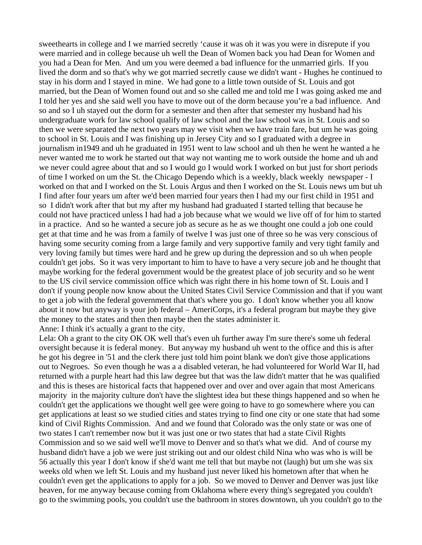sweethearts in college and I we married secretly 'cause it was oh it was you were in disrepute if you were married and in college because uh well the Dean of Women back you had Dean for Women and you had a Dean for Men. And um you were deemed a bad influence for the unmarried girls. If you lived the dorm and so that's why we got married secretly cause we didn't want - Hughes he continued to stay in his dorm and I stayed in mine. We had gone to a little town outside of St. Louis and got married, but the Dean of Women found out and so she called me and told me I was going asked me and I told her yes and she said well you have to move out of the dorm because you're a bad influence. And so and so I uh stayed out the dorm for a semester and then after that semester my husband had his undergraduate work for law school qualify of law school and the law school was in St. Louis and so then we were separated the next two years may we visit when we have train fare, but um he was going to school in St. Louis and I was finishing up in Jersey City and so I graduated with a degree in journalism in1949 and uh he graduated in 1951 went to law school and uh then he went he wanted a he never wanted me to work he started out that way not wanting me to work outside the home and uh and we never could agree about that and so I would go I would work I worked on but just for short periods of time I worked on um the St. the Chicago Dependo which is a weekly, black weekly newspaper - I worked on that and I worked on the St. Louis Argus and then I worked on the St. Louis news um but uh I find after four years um after we'd been married four years then I had my our first child in 1951 and so I didn't work after that but my after my husband had graduated I started telling that because he could not have practiced unless I had had a job because what we would we live off of for him to started in a practice. And so he wanted a secure job as secure as he as we thought one could a job one could get at that time and he was from a family of twelve I was just one of three so he was very conscious of having some security coming from a large family and very supportive family and very tight family and very loving family but times were hard and he grew up during the depression and so uh when people couldn't get jobs. So it was very important to him to have to have a very secure job and he thought that maybe working for the federal government would be the greatest place of job security and so he went to the US civil service commission office which was right there in his home town of St. Louis and I don't if young people now know about the United States Civil Service Commission and that if you want to get a job with the federal government that that's where you go. I don't know whether you all know about it now but anyway is your job federal – AmeriCorps, it's a federal program but maybe they give the money to the states and then then maybe then the states administer it.

Anne: I think it's actually a grant to the city.

Lela: Oh a grant to the city OK OK well that's even uh further away I'm sure there's some uh federal oversight because it is federal money. But anyway my husband uh went to the office and this is after he got his degree in '51 and the clerk there just told him point blank we don't give those applications out to Negroes. So even though he was a a disabled veteran, he had volunteered for World War II, had returned with a purple heart had this law degree but that was the law didn't matter that he was qualified and this is theses are historical facts that happened over and over and over again that most Americans majority in the majority culture don't have the slightest idea but these things happened and so when he couldn't get the applications we thought well gee were going to have to go somewhere where you can get applications at least so we studied cities and states trying to find one city or one state that had some kind of Civil Rights Commission. And and we found that Colorado was the only state or was one of two states I can't remember now but it was just one or two states that had a state Civil Rights Commission and so we said well we'll move to Denver and so that's what we did. And of course my husband didn't have a job we were just striking out and our oldest child Nina who was who is will be 56 actually this year I don't know if she'd want me tell that but maybe not (laugh) but um she was six weeks old when we left St. Louis and my husband just never liked his hometown after that when he couldn't even get the applications to apply for a job. So we moved to Denver and Denver was just like heaven, for me anyway because coming from Oklahoma where every thing's segregated you couldn't go to the swimming pools, you couldn't use the bathroom in stores downtown, uh you couldn't go to the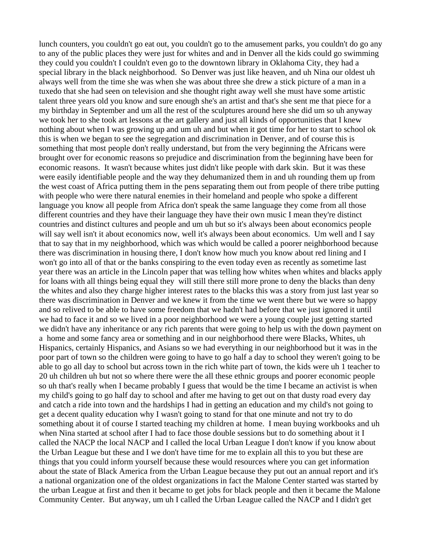lunch counters, you couldn't go eat out, you couldn't go to the amusement parks, you couldn't do go any to any of the public places they were just for whites and and in Denver all the kids could go swimming they could you couldn't I couldn't even go to the downtown library in Oklahoma City, they had a special library in the black neighborhood. So Denver was just like heaven, and uh Nina our oldest uh always well from the time she was when she was about three she drew a stick picture of a man in a tuxedo that she had seen on television and she thought right away well she must have some artistic talent three years old you know and sure enough she's an artist and that's she sent me that piece for a my birthday in September and um all the rest of the sculptures around here she did um so uh anyway we took her to she took art lessons at the art gallery and just all kinds of opportunities that I knew nothing about when I was growing up and um uh and but when it got time for her to start to school ok this is when we began to see the segregation and discrimination in Denver, and of course this is something that most people don't really understand, but from the very beginning the Africans were brought over for economic reasons so prejudice and discrimination from the beginning have been for economic reasons. It wasn't because whites just didn't like people with dark skin. But it was these were easily identifiable people and the way they dehumanized them in and uh rounding them up from the west coast of Africa putting them in the pens separating them out from people of there tribe putting with people who were there natural enemies in their homeland and people who spoke a different language you know all people from Africa don't speak the same language they come from all those different countries and they have their language they have their own music I mean they're distinct countries and distinct cultures and people and um uh but so it's always been about economics people will say well isn't it about economics now, well it's always been about economics. Um well and I say that to say that in my neighborhood, which was which would be called a poorer neighborhood because there was discrimination in housing there, I don't know how much you know about red lining and I won't go into all of that or the banks conspiring to the even today even as recently as sometime last year there was an article in the Lincoln paper that was telling how whites when whites and blacks apply for loans with all things being equal they will still there still more prone to deny the blacks than deny the whites and also they charge higher interest rates to the blacks this was a story from just last year so there was discrimination in Denver and we knew it from the time we went there but we were so happy and so relived to be able to have some freedom that we hadn't had before that we just ignored it until we had to face it and so we lived in a poor neighborhood we were a young couple just getting started we didn't have any inheritance or any rich parents that were going to help us with the down payment on a home and some fancy area or something and in our neighborhood there were Blacks, Whites, uh Hispanics, certainly Hispanics, and Asians so we had everything in our neighborhood but it was in the poor part of town so the children were going to have to go half a day to school they weren't going to be able to go all day to school but across town in the rich white part of town, the kids were uh 1 teacher to 20 uh children uh but not so where there were the all these ethnic groups and poorer economic people so uh that's really when I became probably I guess that would be the time I became an activist is when my child's going to go half day to school and after me having to get out on that dusty road every day and catch a ride into town and the hardships I had in getting an education and my child's not going to get a decent quality education why I wasn't going to stand for that one minute and not try to do something about it of course I started teaching my children at home. I mean buying workbooks and uh when Nina started at school after I had to face those double sessions but to do something about it I called the NACP the local NACP and I called the local Urban League I don't know if you know about the Urban League but these and I we don't have time for me to explain all this to you but these are things that you could inform yourself because these would resources where you can get information about the state of Black America from the Urban League because they put out an annual report and it's a national organization one of the oldest organizations in fact the Malone Center started was started by the urban League at first and then it became to get jobs for black people and then it became the Malone Community Center. But anyway, um uh I called the Urban League called the NACP and I didn't get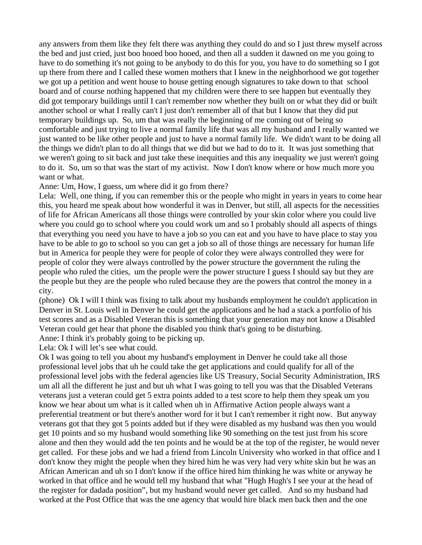any answers from them like they felt there was anything they could do and so I just threw myself across the bed and just cried, just boo hooed boo hooed, and then all a sudden it dawned on me you going to have to do something it's not going to be anybody to do this for you, you have to do something so I got up there from there and I called these women mothers that I knew in the neighborhood we got together we got up a petition and went house to house getting enough signatures to take down to that school board and of course nothing happened that my children were there to see happen but eventually they did got temporary buildings until I can't remember now whether they built on or what they did or built another school or what I really can't I just don't remember all of that but I know that they did put temporary buildings up. So, um that was really the beginning of me coming out of being so comfortable and just trying to live a normal family life that was all my husband and I really wanted we just wanted to be like other people and just to have a normal family life. We didn't want to be doing all the things we didn't plan to do all things that we did but we had to do to it. It was just something that we weren't going to sit back and just take these inequities and this any inequality we just weren't going to do it. So, um so that was the start of my activist. Now I don't know where or how much more you want or what.

Anne: Um, How, I guess, um where did it go from there?

Lela: Well, one thing, if you can remember this or the people who might in years in years to come hear this, you heard me speak about how wonderful it was in Denver, but still, all aspects for the necessities of life for African Americans all those things were controlled by your skin color where you could live where you could go to school where you could work um and so I probably should all aspects of things that everything you need you have to have a job so you can eat and you have to have place to stay you have to be able to go to school so you can get a job so all of those things are necessary for human life but in America for people they were for people of color they were always controlled they were for people of color they were always controlled by the power structure the government the ruling the people who ruled the cities, um the people were the power structure I guess I should say but they are the people but they are the people who ruled because they are the powers that control the money in a city.

(phone) Ok I will I think was fixing to talk about my husbands employment he couldn't application in Denver in St. Louis well in Denver he could get the applications and he had a stack a portfolio of his test scores and as a Disabled Veteran this is something that your generation may not know a Disabled Veteran could get hear that phone the disabled you think that's going to be disturbing.

Anne: I think it's probably going to be picking up.

Lela: Ok I will let's see what could.

Ok I was going to tell you about my husband's employment in Denver he could take all those professional level jobs that uh he could take the get applications and could qualify for all of the professional level jobs with the federal agencies like US Treasury, Social Security Administration, IRS um all all the different he just and but uh what I was going to tell you was that the Disabled Veterans veterans just a veteran could get 5 extra points added to a test score to help them they speak um you know we hear about um what is it called when uh in Affirmative Action people always want a preferential treatment or but there's another word for it but I can't remember it right now. But anyway veterans got that they got 5 points added but if they were disabled as my husband was then you would get 10 points and so my husband would something like 90 something on the test just from his score alone and then they would add the ten points and he would be at the top of the register, he would never get called. For these jobs and we had a friend from Lincoln University who worked in that office and I don't know they might the people when they hired him he was very had very white skin but he was an African American and uh so I don't know if the office hired him thinking he was white or anyway he worked in that office and he would tell my husband that what "Hugh Hugh's I see your at the head of the register for dadada position", but my husband would never get called. And so my husband had worked at the Post Office that was the one agency that would hire black men back then and the one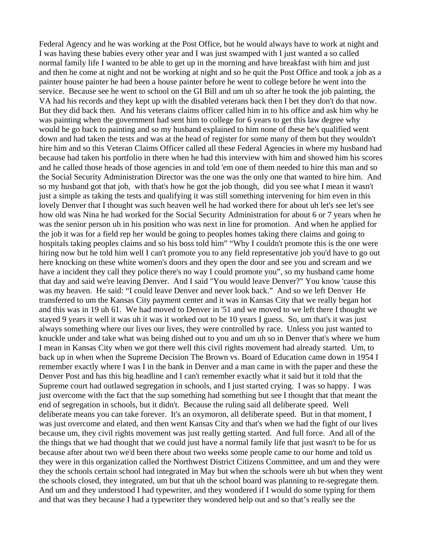Federal Agency and he was working at the Post Office, but he would always have to work at night and I was having these babies every other year and I was just swamped with I just wanted a so called normal family life I wanted to be able to get up in the morning and have breakfast with him and just and then he come at night and not be working at night and so he quit the Post Office and took a job as a painter house painter he had been a house painter before he went to college before he went into the service. Because see he went to school on the GI Bill and um uh so after he took the job painting, the VA had his records and they kept up with the disabled veterans back then I bet they don't do that now. But they did back then. And his veterans claims officer called him in to his office and ask him why he was painting when the government had sent him to college for 6 years to get this law degree why would he go back to painting and so my husband explained to him none of these he's qualified went down and had taken the tests and was at the head of register for some many of them but they wouldn't hire him and so this Veteran Claims Officer called all these Federal Agencies in where my husband had because had taken his portfolio in there when he had this interview with him and showed him his scores and he called those heads of those agencies in and told 'em one of them needed to hire this man and so the Social Security Administration Director was the one was the only one that wanted to hire him. And so my husband got that job, with that's how he got the job though, did you see what I mean it wasn't just a simple as taking the tests and qualifying it was still something intervening for him even in this lovely Denver that I thought was such heaven well he had worked there for about uh let's see let's see how old was Nina he had worked for the Social Security Administration for about 6 or 7 years when he was the senior person uh in his position who was next in line for promotion. And when he applied for the job it was for a field rep her would be going to peoples homes taking there claims and going to hospitals taking peoples claims and so his boss told him" "Why I couldn't promote this is the one were hiring now but he told him well I can't promote you to any field representative job you'd have to go out here knocking on these white women's doors and they open the door and see you and scream and we have a incident they call they police there's no way I could promote you", so my husband came home that day and said we're leaving Denver. And I said "You would leave Denver?" You know 'cause this was my heaven. He said: "I could leave Denver and never look back." And so we left Denver He transferred to um the Kansas City payment center and it was in Kansas City that we really began hot and this was in 19 uh 61. We had moved to Denver in '51 and we moved to we left there I thought we stayed 9 years it well it was uh it was it worked out to be 10 years I guess. So, um that's it was just always something where our lives our lives, they were controlled by race. Unless you just wanted to knuckle under and take what was being dished out to you and um uh so in Denver that's where we hum I mean in Kansas City when we got there well this civil rights movement had already started. Um, to back up in when when the Supreme Decision The Brown vs. Board of Education came down in 1954 I remember exactly where I was I in the bank in Denver and a man came in with the paper and these the Denver Post and has this big headline and I can't remember exactly what it said but it told that the Supreme court had outlawed segregation in schools, and I just started crying. I was so happy. I was just overcome with the fact that the sup something had something but see I thought that that meant the end of segregation in schools, but it didn't. Because the ruling said all deliberate speed. Well deliberate means you can take forever. It's an oxymoron, all deliberate speed. But in that moment, I was just overcome and elated, and then went Kansas City and that's when we had the fight of our lives because um, they civil rights movement was just really getting started. And full force. And all of the the things that we had thought that we could just have a normal family life that just wasn't to be for us because after about two we'd been there about two weeks some people came to our home and told us they were in this organization called the Northwest District Citizens Committee, and um and they were they the schools certain school had integrated in May but when the schools were uh but when they went the schools closed, they integrated, um but that uh the school board was planning to re-segregate them. And um and they understood I had typewriter, and they wondered if I would do some typing for them and that was they because I had a typewriter they wondered help out and so that's really see the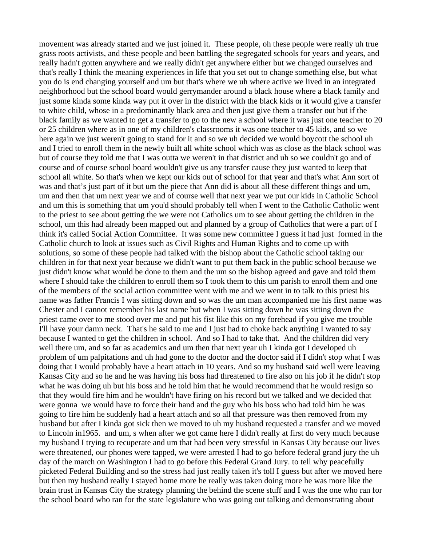movement was already started and we just joined it. These people, oh these people were really uh true grass roots activists, and these people and been battling the segregated schools for years and years, and really hadn't gotten anywhere and we really didn't get anywhere either but we changed ourselves and that's really I think the meaning experiences in life that you set out to change something else, but what you do is end changing yourself and um but that's where we uh where active we lived in an integrated neighborhood but the school board would gerrymander around a black house where a black family and just some kinda some kinda way put it over in the district with the black kids or it would give a transfer to white child, whose in a predominantly black area and then just give them a transfer out but if the black family as we wanted to get a transfer to go to the new a school where it was just one teacher to 20 or 25 children where as in one of my children's classrooms it was one teacher to 45 kids, and so we here again we just weren't going to stand for it and so we uh decided we would boycott the school uh and I tried to enroll them in the newly built all white school which was as close as the black school was but of course they told me that I was outta we weren't in that district and uh so we couldn't go and of course and of course school board wouldn't give us any transfer cause they just wanted to keep that school all white. So that's when we kept our kids out of school for that year and that's what Ann sort of was and that's just part of it but um the piece that Ann did is about all these different things and um, um and then that um next year we and of course well that next year we put our kids in Catholic School and um this is something that um you'd should probably tell when I went to the Catholic Catholic went to the priest to see about getting the we were not Catholics um to see about getting the children in the school, um this had already been mapped out and planned by a group of Catholics that were a part of I think it's called Social Action Committee. It was some new committee I guess it had just formed in the Catholic church to look at issues such as Civil Rights and Human Rights and to come up with solutions, so some of these people had talked with the bishop about the Catholic school taking our children in for that next year because we didn't want to put them back in the public school because we just didn't know what would be done to them and the um so the bishop agreed and gave and told them where I should take the children to enroll them so I took them to this um parish to enroll them and one of the members of the social action committee went with me and we went in to talk to this priest his name was father Francis I was sitting down and so was the um man accompanied me his first name was Chester and I cannot remember his last name but when I was sitting down he was sitting down the priest came over to me stood over me and put his fist like this on my forehead if you give me trouble I'll have your damn neck. That's he said to me and I just had to choke back anything I wanted to say because I wanted to get the children in school. And so I had to take that. And the children did very well there um, and so far as academics and um then that next year uh I kinda got I developed uh problem of um palpitations and uh had gone to the doctor and the doctor said if I didn't stop what I was doing that I would probably have a heart attach in 10 years. And so my husband said well were leaving Kansas City and so he and he was having his boss had threatened to fire also on his job if he didn't stop what he was doing uh but his boss and he told him that he would recommend that he would resign so that they would fire him and he wouldn't have firing on his record but we talked and we decided that were gonna we would have to force their hand and the guy who his boss who had told him he was going to fire him he suddenly had a heart attach and so all that pressure was then removed from my husband but after I kinda got sick then we moved to uh my husband requested a transfer and we moved to Lincoln in1965. and um, s when after we got came here I didn't really at first do very much because my husband I trying to recuperate and um that had been very stressful in Kansas City because our lives were threatened, our phones were tapped, we were arrested I had to go before federal grand jury the uh day of the march on Washington I had to go before this Federal Grand Jury. to tell why peacefully picketed Federal Building and so the stress had just really taken it's toll I guess but after we moved here but then my husband really I stayed home more he really was taken doing more he was more like the brain trust in Kansas City the strategy planning the behind the scene stuff and I was the one who ran for the school board who ran for the state legislature who was going out talking and demonstrating about